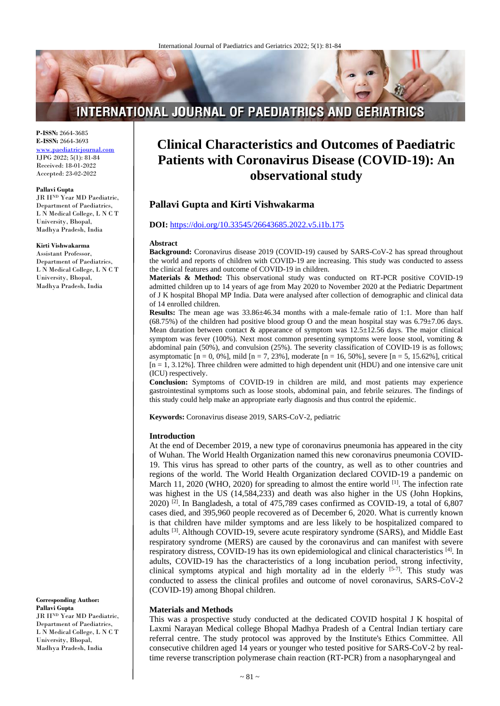# **INTERNATIONAL JOURNAL OF PAEDIATRICS AND GERIATRICS**

**P-ISSN:** 2664-3685 **E-ISSN:** 2664-3693 [www.paediatricjournal.com](http://www.paediatricjournal.com/) IJPG 2022; 5(1): 81-84 Received: 18-01-2022 Accepted: 23-02-2022

#### **Pallavi Gupta**

JR II<sup>ND</sup> Year MD Paediatric, Department of Paediatrics, L N Medical College, L N C T University, Bhopal, Madhya Pradesh, India

#### **Kirti Vishwakarma**

Assistant Professor, Department of Paediatrics, L N Medical College, L N C T University, Bhopal, Madhya Pradesh, India

**Corresponding Author: Pallavi Gupta**

JR IIND Year MD Paediatric, Department of Paediatrics, L N Medical College, L N C T University, Bhopal, Madhya Pradesh, India

# **Clinical Characteristics and Outcomes of Paediatric Patients with Coronavirus Disease (COVID-19): An observational study**

# **Pallavi Gupta and Kirti Vishwakarma**

# **DOI:** <https://doi.org/10.33545/26643685.2022.v5.i1b.175>

#### **Abstract**

**Background:** Coronavirus disease 2019 (COVID-19) caused by SARS-CoV-2 has spread throughout the world and reports of children with COVID-19 are increasing. This study was conducted to assess the clinical features and outcome of COVID-19 in children.

**Materials & Method:** This observational study was conducted on RT-PCR positive COVID-19 admitted children up to 14 years of age from May 2020 to November 2020 at the Pediatric Department of J K hospital Bhopal MP India. Data were analysed after collection of demographic and clinical data of 14 enrolled children.

**Results:** The mean age was  $33.86\pm46.34$  months with a male-female ratio of 1:1. More than half (68.75%) of the children had positive blood group O and the mean hospital stay was  $6.79\pm7.06$  days. Mean duration between contact  $\&$  appearance of symptom was 12.5 $\pm$ 12.56 days. The major clinical symptom was fever (100%). Next most common presenting symptoms were loose stool, vomiting  $\&$ abdominal pain (50%), and convulsion (25%). The severity classification of COVID-19 is as follows; asymptomatic  $[n = 0, 0\%]$ , mild  $[n = 7, 23\%]$ , moderate  $[n = 16, 50\%]$ , severe  $[n = 5, 15.62\%]$ , critical  $[n = 1, 3.12\%]$ . Three children were admitted to high dependent unit (HDU) and one intensive care unit (ICU) respectively.

**Conclusion:** Symptoms of COVID-19 in children are mild, and most patients may experience gastrointestinal symptoms such as loose stools, abdominal pain, and febrile seizures. The findings of this study could help make an appropriate early diagnosis and thus control the epidemic.

**Keywords:** Coronavirus disease 2019, SARS-CoV-2, pediatric

#### **Introduction**

At the end of December 2019, a new type of coronavirus pneumonia has appeared in the city of Wuhan. The World Health Organization named this new coronavirus pneumonia COVID-19. This virus has spread to other parts of the country, as well as to other countries and regions of the world. The World Health Organization declared COVID-19 a pandemic on March 11, 2020 (WHO, 2020) for spreading to almost the entire world [1]. The infection rate was highest in the US (14,584,233) and death was also higher in the US (John Hopkins,  $2020$ )<sup>[2]</sup>. In Bangladesh, a total of 475,789 cases confirmed as COVID-19, a total of 6,807 cases died, and 395,960 people recovered as of December 6, 2020. What is currently known is that children have milder symptoms and are less likely to be hospitalized compared to adults<sup>[3]</sup>. Although COVID-19, severe acute respiratory syndrome (SARS), and Middle East respiratory syndrome (MERS) are caused by the coronavirus and can manifest with severe respiratory distress, COVID-19 has its own epidemiological and clinical characteristics [4]. In adults, COVID-19 has the characteristics of a long incubation period, strong infectivity, clinical symptoms atypical and high mortality ad in the elderly  $[5-7]$ . This study was conducted to assess the clinical profiles and outcome of novel coronavirus, SARS-CoV-2 (COVID-19) among Bhopal children.

### **Materials and Methods**

This was a prospective study conducted at the dedicated COVID hospital J K hospital of Laxmi Narayan Medical college Bhopal Madhya Pradesh of a Central Indian tertiary care referral centre. The study protocol was approved by the Institute's Ethics Committee. All consecutive children aged 14 years or younger who tested positive for SARS-CoV-2 by realtime reverse transcription polymerase chain reaction (RT-PCR) from a nasopharyngeal and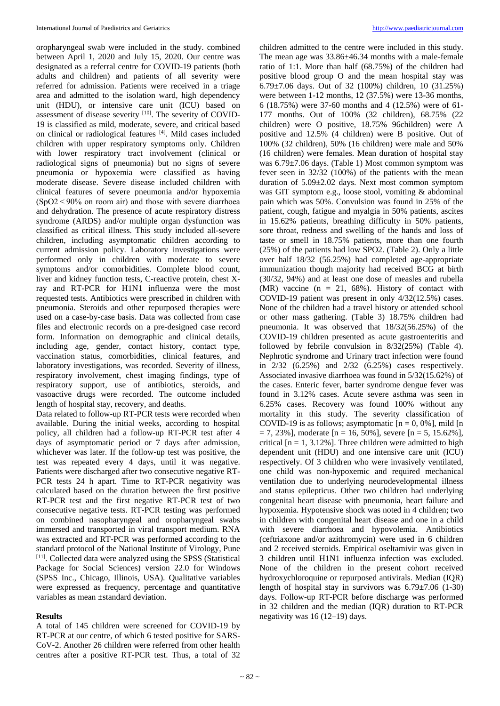oropharyngeal swab were included in the study. combined between April 1, 2020 and July 15, 2020. Our centre was designated as a referral centre for COVID-19 patients (both adults and children) and patients of all severity were referred for admission. Patients were received in a triage area and admitted to the isolation ward, high dependency unit (HDU), or intensive care unit (ICU) based on assessment of disease severity [10]. The severity of COVID-19 is classified as mild, moderate, severe, and critical based on clinical or radiological features [4]. Mild cases included children with upper respiratory symptoms only. Children with lower respiratory tract involvement (clinical or radiological signs of pneumonia) but no signs of severe pneumonia or hypoxemia were classified as having moderate disease. Severe disease included children with clinical features of severe pneumonia and/or hypoxemia  $(SpO2 < 90\%$  on room air) and those with severe diarrhoea and dehydration. The presence of acute respiratory distress syndrome (ARDS) and/or multiple organ dysfunction was classified as critical illness. This study included all-severe children, including asymptomatic children according to current admission policy. Laboratory investigations were performed only in children with moderate to severe symptoms and/or comorbidities. Complete blood count, liver and kidney function tests, C-reactive protein, chest Xray and RT-PCR for H1N1 influenza were the most requested tests. Antibiotics were prescribed in children with pneumonia. Steroids and other repurposed therapies were used on a case-by-case basis. Data was collected from case files and electronic records on a pre-designed case record form. Information on demographic and clinical details, including age, gender, contact history, contact type, vaccination status, comorbidities, clinical features, and laboratory investigations, was recorded. Severity of illness, respiratory involvement, chest imaging findings, type of respiratory support, use of antibiotics, steroids, and vasoactive drugs were recorded. The outcome included length of hospital stay, recovery, and deaths.

Data related to follow-up RT-PCR tests were recorded when available. During the initial weeks, according to hospital policy, all children had a follow-up RT-PCR test after 4 days of asymptomatic period or 7 days after admission, whichever was later. If the follow-up test was positive, the test was repeated every 4 days, until it was negative. Patients were discharged after two consecutive negative RT-PCR tests 24 h apart. Time to RT-PCR negativity was calculated based on the duration between the first positive RT-PCR test and the first negative RT-PCR test of two consecutive negative tests. RT-PCR testing was performed on combined nasopharyngeal and oropharyngeal swabs immersed and transported in viral transport medium. RNA was extracted and RT-PCR was performed according to the standard protocol of the National Institute of Virology, Pune [11]. Collected data were analyzed using the SPSS (Statistical Package for Social Sciences) version 22.0 for Windows (SPSS Inc., Chicago, Illinois, USA). Qualitative variables were expressed as frequency, percentage and quantitative variables as mean ±standard deviation.

### **Results**

A total of 145 children were screened for COVID-19 by RT-PCR at our centre, of which 6 tested positive for SARS-CoV-2. Another 26 children were referred from other health centres after a positive RT-PCR test. Thus, a total of 32

children admitted to the centre were included in this study. The mean age was 33.86±46.34 months with a male-female ratio of 1:1. More than half (68.75%) of the children had positive blood group O and the mean hospital stay was 6.79±7.06 days. Out of 32 (100%) children, 10 (31.25%) were between 1-12 months, 12 (37.5%) were 13-36 months, 6 (18.75%) were 37-60 months and 4 (12.5%) were of 61- 177 months. Out of 100% (32 children), 68.75% (22 children) were O positive, 18.75% 96children) were A positive and 12.5% (4 children) were B positive. Out of 100% (32 children), 50% (16 children) were male and 50% (16 children) were females. Mean duration of hospital stay was 6.79±7.06 days. (Table 1) Most common symptom was fever seen in 32/32 (100%) of the patients with the mean duration of 5.09±2.02 days. Next most common symptom was GIT symptom e.g., loose stool, vomiting & abdominal pain which was 50%. Convulsion was found in 25% of the patient, cough, fatigue and myalgia in 50% patients, ascites in 15.62% patients, breathing difficulty in 50% patients, sore throat, redness and swelling of the hands and loss of taste or smell in 18.75% patients, more than one fourth (25%) of the patients had low SPO2. (Table 2). Only a little over half 18/32 (56.25%) had completed age-appropriate immunization though majority had received BCG at birth (30/32, 94%) and at least one dose of measles and rubella (MR) vaccine ( $n = 21, 68%$ ). History of contact with COVID-19 patient was present in only 4/32(12.5%) cases. None of the children had a travel history or attended school or other mass gathering. (Table 3) 18.75% children had pneumonia. It was observed that 18/32(56.25%) of the COVID-19 children presented as acute gastroenteritis and followed by febrile convulsion in 8/32(25%) (Table 4). Nephrotic syndrome and Urinary tract infection were found in 2/32 (6.25%) and 2/32 (6.25%) cases respectively. Associated invasive diarrhoea was found in 5/32(15.62%) of the cases. Enteric fever, barter syndrome dengue fever was found in 3.12% cases. Acute severe asthma was seen in 6.25% cases. Recovery was found 100% without any mortality in this study. The severity classification of COVID-19 is as follows; asymptomatic  $[n = 0, 0\%]$ , mild  $[n]$  $= 7, 23\%$ ], moderate  $[n = 16, 50\%]$ , severe  $[n = 5, 15.62\%]$ , critical  $[n = 1, 3.12\%]$ . Three children were admitted to high dependent unit (HDU) and one intensive care unit (ICU) respectively. Of 3 children who were invasively ventilated, one child was non-hypoxemic and required mechanical ventilation due to underlying neurodevelopmental illness and status epilepticus. Other two children had underlying congenital heart disease with pneumonia, heart failure and hypoxemia. Hypotensive shock was noted in 4 children; two in children with congenital heart disease and one in a child with severe diarrhoea and hypovolemia. Antibiotics (ceftriaxone and/or azithromycin) were used in 6 children and 2 received steroids. Empirical oseltamivir was given in 3 children until H1N1 influenza infection was excluded. None of the children in the present cohort received hydroxychloroquine or repurposed antivirals. Median (IQR) length of hospital stay in survivors was 6.79±7.06 (1-30) days. Follow-up RT-PCR before discharge was performed in 32 children and the median (IQR) duration to RT-PCR negativity was 16 (12–19) days.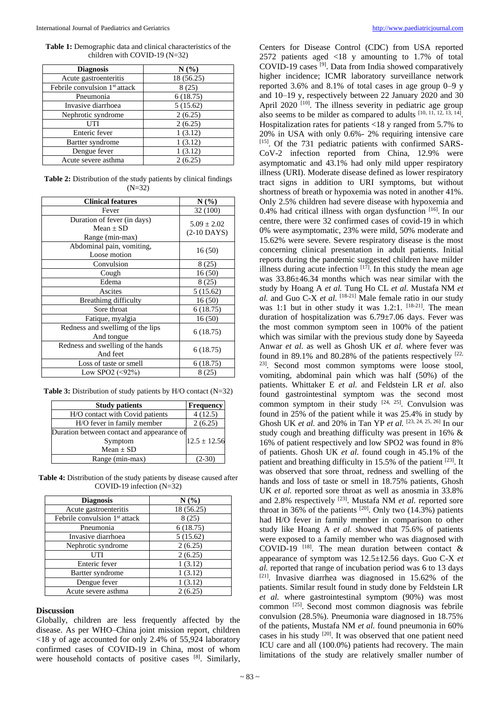**Table 1:** Demographic data and clinical characteristics of the children with COVID-19 (N=32)

| <b>Diagnosis</b>                          | N(%        |
|-------------------------------------------|------------|
| Acute gastroenteritis                     | 18 (56.25) |
| Febrile convulsion 1 <sup>st</sup> attack | 8(25)      |
| Pneumonia                                 | 6(18.75)   |
| Invasive diarrhoea                        | 5(15.62)   |
| Nephrotic syndrome                        | 2(6.25)    |
| UTI                                       | 2(6.25)    |
| Enteric fever                             | 1(3.12)    |
| Bartter syndrome                          | 1(3.12)    |
| Dengue fever                              | 1(3.12)    |
| Acute severe asthma                       | 2(6.25)    |

**Table 2:** Distribution of the study patients by clinical findings (N=32)

| <b>Clinical features</b>                                        | N(%                              |
|-----------------------------------------------------------------|----------------------------------|
| Fever                                                           | 32 (100)                         |
| Duration of fever (in days)<br>Mean $\pm$ SD<br>Range (min-max) | $5.09 \pm 2.02$<br>$(2-10$ DAYS) |
| Abdominal pain, vomiting,<br>Loose motion                       | 16(50)                           |
| Convulsion                                                      | 8 (25)                           |
| Cough                                                           | 16(50)                           |
| Edema                                                           | 8(25)                            |
| Ascites                                                         | 5(15.62)                         |
| Breathimg difficulty                                            | 16(50)                           |
| Sore throat                                                     | 6(18.75)                         |
| Fatique, myalgia                                                | 16(50)                           |
| Redness and swellimg of the lips<br>And tongue                  | 6 (18.75)                        |
| Redness and swelling of the hands<br>And feet                   | 6(18.75)                         |
| Loss of taste or smell                                          | 6(18.75)                         |
| Low SPO2 $(\leq 92\%)$                                          | 8 (25)                           |

**Table 3:** Distribution of study patients by H/O contact (N=32)

| <b>Study patients</b>                      | <b>Frequency</b> |
|--------------------------------------------|------------------|
| H/O contact with Covid patients            | 4(12.5)          |
| H/O fever in family member                 | 2(6.25)          |
| Duration between contact and appearance of |                  |
| Symptom                                    | $12.5 \pm 12.56$ |
| Mean $\pm$ SD                              |                  |
| Range (min-max)                            | $(2-30)$         |

**Table 4:** Distribution of the study patients by disease caused after COVID-19 infection (N=32)

| <b>Diagnosis</b>                          | N(%)       |
|-------------------------------------------|------------|
| Acute gastroenteritis                     | 18 (56.25) |
| Febrile convulsion 1 <sup>st</sup> attack | 8(25)      |
| Pneumonia                                 | 6(18.75)   |
| Invasive diarrhoea                        | 5(15.62)   |
| Nephrotic syndrome                        | 2(6.25)    |
| UTI                                       | 2(6.25)    |
| Enteric fever                             | 1(3.12)    |
| Bartter syndrome                          | 1(3.12)    |
| Dengue fever                              | 1(3.12)    |
| Acute severe asthma                       | 2(6.25)    |

#### **Discussion**

Globally, children are less frequently affected by the disease. As per WHO–China joint mission report, children <18 y of age accounted for only 2.4% of 55,924 laboratory confirmed cases of COVID-19 in China, most of whom were household contacts of positive cases [8]. Similarly,

Centers for Disease Control (CDC) from USA reported 2572 patients aged <18 y amounting to 1.7% of total COVID-19 cases [9] . Data from India showed comparatively higher incidence; ICMR laboratory surveillance network reported 3.6% and 8.1% of total cases in age group 0–9 y and 10–19 y, respectively between 22 January 2020 and 30 April 2020<sup>[10]</sup>. The illness severity in pediatric age group also seems to be milder as compared to adults  $[10, 11, 12, 13, 14]$ . Hospitalization rates for patients <18 y ranged from 5.7% to 20% in USA with only 0.6%- 2% requiring intensive care [15]. Of the 731 pediatric patients with confirmed SARS-CoV-2 infection reported from China, 12.9% were asymptomatic and 43.1% had only mild upper respiratory illness (URI). Moderate disease defined as lower respiratory tract signs in addition to URI symptoms, but without shortness of breath or hypoxemia was noted in another 41%. Only 2.5% children had severe disease with hypoxemia and 0.4% had critical illness with organ dysfunction [16]. In our centre, there were 32 confirmed cases of covid-19 in which 0% were asymptomatic, 23% were mild, 50% moderate and 15.62% were severe. Severe respiratory disease is the most concerning clinical presentation in adult patients. Initial reports during the pandemic suggested children have milder illness during acute infection  $[17]$ . In this study the mean age was 33.86±46.34 months which was near similar with the study by Hoang A *et al.* Tung Ho CL *et al.* Mustafa NM *et al.* and Guo C-X *et al.* [18-21] Male female ratio in our study was 1:1 but in other study it was 1.2:1.  $[18-21]$ . The mean duration of hospitalization was 6.79±7.06 days. Fever was the most common symptom seen in 100% of the patient which was similar with the previous study done by Sayeeda Anwar *et al.* as well as Ghosh UK *et al.* where fever was found in 89.1% and 80.28% of the patients respectively  $[22, 1]$ 23] . Second most common symptoms were loose stool, vomiting, abdominal pain which was half (50%) of the patients. Whittaker E *et al.* and Feldstein LR *et al.* also found gastrointestinal symptom was the second most common symptom in their study  $[24, 25]$ . Convulsion was found in 25% of the patient while it was 25.4% in study by Ghosh UK *et al.* and 20% in Tan YP *et al.* [23, 24, 25, 26] In our study cough and breathing difficulty was present in 16% & 16% of patient respectively and low SPO2 was found in 8% of patients. Ghosh UK *et al.* found cough in 45.1% of the patient and breathing difficulty in 15.5% of the patient [23]. It was observed that sore throat, redness and swelling of the hands and loss of taste or smell in 18.75% patients, Ghosh UK *et al.* reported sore throat as well as anosmia in 33.8% and 2.8% respectively <sup>[23]</sup>. Mustafa NM *et al.* reported sore throat in 36% of the patients  $[20]$ . Only two (14.3%) patients had H/O fever in family member in comparison to other study like Hoang A *et al.* showed that 75.6% of patients were exposed to a family member who was diagnosed with COVID-19<sup>[18]</sup>. The mean duration between contact  $\&$ appearance of symptom was 12.5±12.56 days. Guo C-X *et al.* reported that range of incubation period was 6 to 13 days [21] . Invasive diarrhea was diagnosed in 15.62% of the patients. Similar result found in study done by Feldstein LR *et al.* where gastrointestinal symptom (90%) was most common [25] . Second most common diagnosis was febrile convulsion (28.5%). Pneumonia ware diagnosed in 18.75% of the patients, Mustafa NM *et al.* found pneumonia in 60% cases in his study [20] . It was observed that one patient need ICU care and all (100.0%) patients had recovery. The main limitations of the study are relatively smaller number of